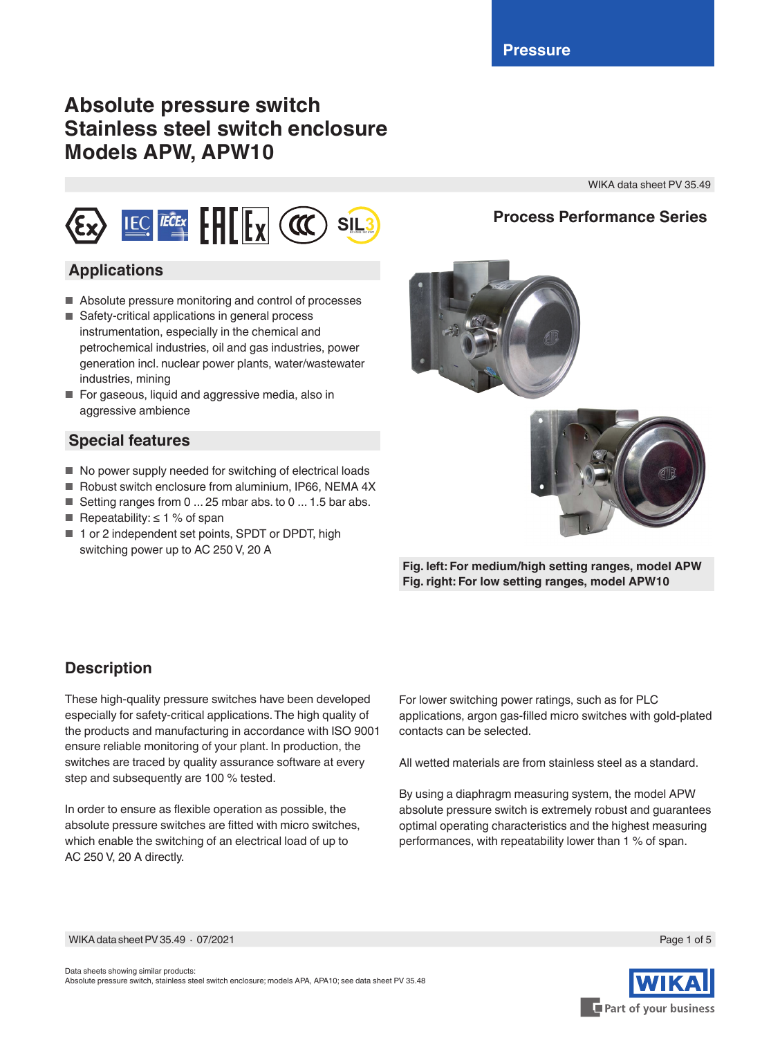# **Absolute pressure switch Stainless steel switch enclosure Models APW, APW10**

WIKA data sheet PV 35.49

# **SIL3**

## **Applications**

- Absolute pressure monitoring and control of processes
- Safety-critical applications in general process instrumentation, especially in the chemical and petrochemical industries, oil and gas industries, power generation incl. nuclear power plants, water/wastewater industries, mining
- For gaseous, liquid and aggressive media, also in aggressive ambience

## **Special features**

- No power supply needed for switching of electrical loads
- Robust switch enclosure from aluminium, IP66, NEMA 4X
- Setting ranges from 0 ... 25 mbar abs. to 0 ... 1.5 bar abs.
- Repeatability:  $\leq 1$  % of span
- 1 or 2 independent set points, SPDT or DPDT, high switching power up to AC 250 V, 20 A

**Process Performance Series**





**Fig. left: For medium/high setting ranges, model APW Fig. right: For low setting ranges, model APW10**

## **Description**

These high-quality pressure switches have been developed especially for safety-critical applications. The high quality of the products and manufacturing in accordance with ISO 9001 ensure reliable monitoring of your plant. In production, the switches are traced by quality assurance software at every step and subsequently are 100 % tested.

In order to ensure as flexible operation as possible, the absolute pressure switches are fitted with micro switches, which enable the switching of an electrical load of up to AC 250 V, 20 A directly.

For lower switching power ratings, such as for PLC applications, argon gas-filled micro switches with gold-plated contacts can be selected.

All wetted materials are from stainless steel as a standard.

By using a diaphragm measuring system, the model APW absolute pressure switch is extremely robust and guarantees optimal operating characteristics and the highest measuring performances, with repeatability lower than 1 % of span.



Page 1 of 5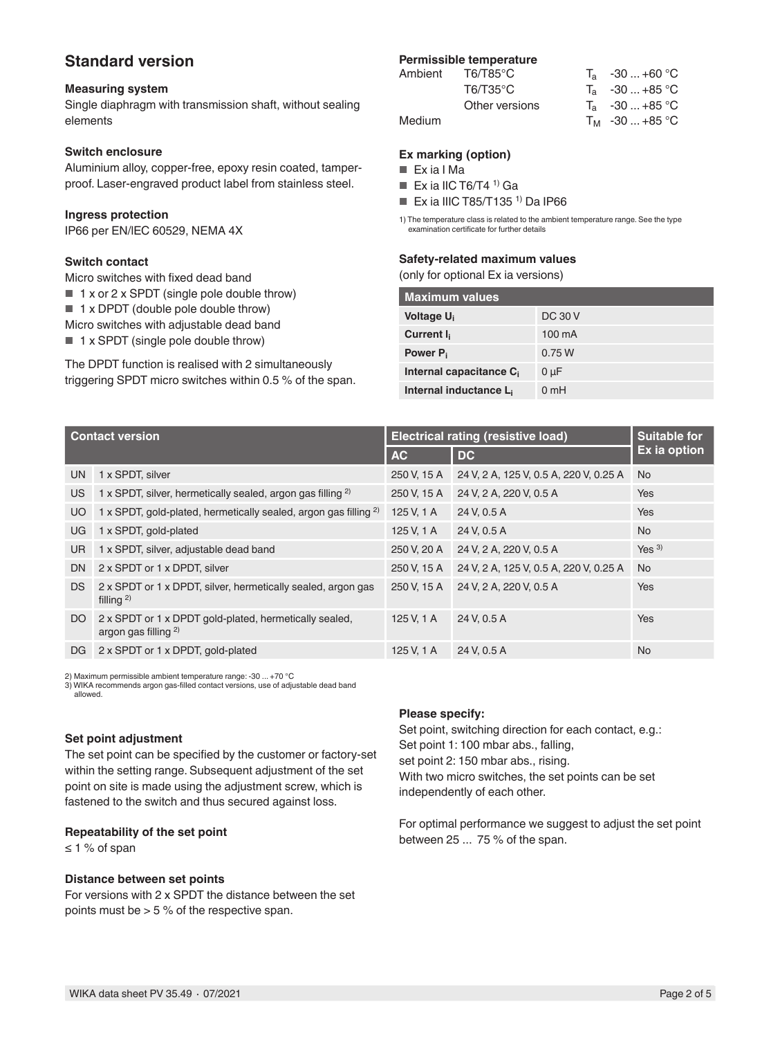### **Standard version**

#### **Measuring system**

Single diaphragm with transmission shaft, without sealing elements

#### **Switch enclosure**

Aluminium alloy, copper-free, epoxy resin coated, tamperproof. Laser-engraved product label from stainless steel.

#### **Ingress protection**

IP66 per EN/lEC 60529, NEMA 4X

#### **Switch contact**

Micro switches with fixed dead band

- 1 x or 2 x SPDT (single pole double throw)
- 1 x DPDT (double pole double throw)
- Micro switches with adjustable dead band

■ 1 x SPDT (single pole double throw)

The DPDT function is realised with 2 simultaneously triggering SPDT micro switches within 0.5 % of the span.

# **Permissible temperature**<br>Ambient **T6/T85°C**

| $T_a$ -30  +60 °C |
|-------------------|
| $T_a$ -30  +85 °C |
| $T_a$ -30  +85 °C |
| $T_M$ -30  +85 °C |
|                   |

#### **Ex marking (option)**

- Ex ia I Ma
- Ex ia IIC T6/T4  $<sup>1</sup>$  Ga</sup>
- Ex ia IIIC T85/T135<sup>1)</sup> Da IP66

1) The temperature class is related to the ambient temperature range. See the type examination certificate for further details

#### **Safety-related maximum values**

(only for optional Ex ia versions)

| <b>Maximum values</b>               |                  |  |  |  |
|-------------------------------------|------------------|--|--|--|
| Voltage U <sub>i</sub>              | DC 30 V          |  |  |  |
| Current I <sub>i</sub>              | $100 \text{ mA}$ |  |  |  |
| Power P <sub>i</sub>                | 0.75W            |  |  |  |
| Internal capacitance C <sub>i</sub> | $0 \mu F$        |  |  |  |
| Internal inductance L <sub>i</sub>  | 0mH              |  |  |  |

|                | <b>Contact version</b>                                                            | <b>Electrical rating (resistive load)</b> | <b>Suitable for</b>                    |                  |
|----------------|-----------------------------------------------------------------------------------|-------------------------------------------|----------------------------------------|------------------|
|                |                                                                                   | <b>AC</b>                                 | DC.                                    | Ex ia option     |
| UN.            | 1 x SPDT, silver                                                                  | 250 V, 15 A                               | 24 V, 2 A, 125 V, 0.5 A, 220 V, 0.25 A | <b>No</b>        |
| US.            | 1 x SPDT, silver, hermetically sealed, argon gas filling <sup>2)</sup>            | 250 V, 15 A                               | 24 V, 2 A, 220 V, 0.5 A                | Yes              |
| <b>UO</b>      | 1 x SPDT, gold-plated, hermetically sealed, argon gas filling <sup>2)</sup>       | 125 V, 1 A                                | 24 V, 0.5 A                            | Yes              |
| UG.            | 1 x SPDT, gold-plated                                                             | 125 V, 1 A                                | 24 V, 0.5 A                            | <b>No</b>        |
| <b>UR</b>      | 1 x SPDT, silver, adjustable dead band                                            | 250 V, 20 A                               | 24 V, 2 A, 220 V, 0.5 A                | Yes <sup>3</sup> |
| D <sub>N</sub> | 2 x SPDT or 1 x DPDT, silver                                                      | 250 V, 15 A                               | 24 V, 2 A, 125 V, 0.5 A, 220 V, 0.25 A | <b>No</b>        |
| DS.            | 2 x SPDT or 1 x DPDT, silver, hermetically sealed, argon gas<br>filling $^{2)}$   | 250 V, 15 A                               | 24 V, 2 A, 220 V, 0.5 A                | Yes              |
| DO.            | 2 x SPDT or 1 x DPDT gold-plated, hermetically sealed,<br>argon gas filling $2$ ) | 125 V, 1 A                                | 24 V. 0.5 A                            | Yes              |
| DG.            | 2 x SPDT or 1 x DPDT, gold-plated                                                 | 125 V, 1 A                                | 24 V. 0.5 A                            | <b>No</b>        |

2) Maximum permissible ambient temperature range: -30 ... +70 °C 3) WIKA recommends argon gas-filled contact versions, use of adjustable dead band allowed.

#### **Set point adjustment**

The set point can be specified by the customer or factory-set within the setting range. Subsequent adjustment of the set point on site is made using the adjustment screw, which is fastened to the switch and thus secured against loss.

#### **Repeatability of the set point**

≤ 1 % of span

#### **Distance between set points**

For versions with 2 x SPDT the distance between the set points must be > 5 % of the respective span.

#### **Please specify:**

Set point, switching direction for each contact, e.g.: Set point 1: 100 mbar abs., falling, set point 2: 150 mbar abs., rising. With two micro switches, the set points can be set independently of each other.

For optimal performance we suggest to adjust the set point between 25 ... 75 % of the span.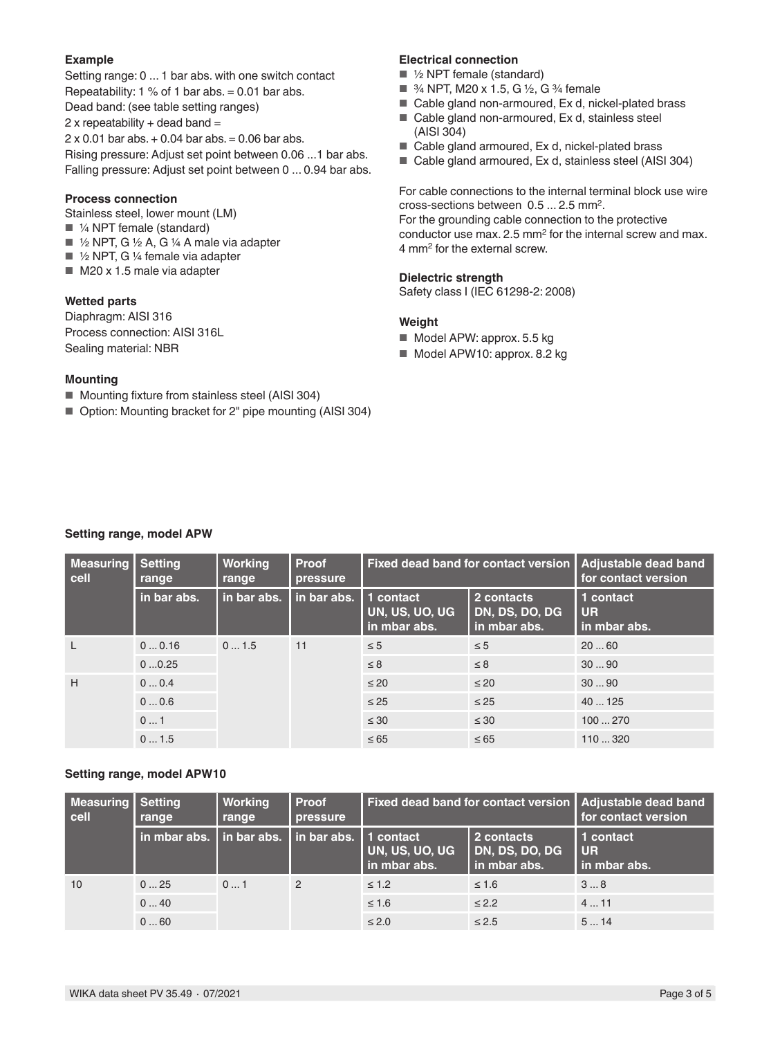#### **Example**

Setting range: 0 ... 1 bar abs. with one switch contact Repeatability:  $1\%$  of 1 bar abs. = 0.01 bar abs. Dead band: (see table setting ranges)  $2x$  repeatability + dead band =  $2 \times 0.01$  bar abs.  $+ 0.04$  bar abs.  $= 0.06$  bar abs. Rising pressure: Adjust set point between 0.06 ...1 bar abs. Falling pressure: Adjust set point between 0 ... 0.94 bar abs.

#### **Process connection**

- Stainless steel, lower mount (LM)
- $\blacksquare$  1/4 NPT female (standard)
- $\blacksquare$  1/2 NPT, G 1/2 A, G 1/4 A male via adapter
- $\blacksquare$  1/2 NPT, G 1/4 female via adapter
- M20 x 1.5 male via adapter

#### **Wetted parts**

Diaphragm: AISI 316 Process connection: AISI 316L Sealing material: NBR

#### **Mounting**

- Mounting fixture from stainless steel (AISI 304)
- Option: Mounting bracket for 2" pipe mounting (AISI 304)

#### **Electrical connection**

- ½ NPT female (standard)
- 3⁄4 NPT, M20 x 1.5, G 1⁄2, G 3⁄4 female
- Cable gland non-armoured, Ex d, nickel-plated brass
- Cable gland non-armoured, Ex d, stainless steel (AISI 304)
- Cable gland armoured, Ex d, nickel-plated brass
- Cable gland armoured, Ex d, stainless steel (AISI 304)

For cable connections to the internal terminal block use wire cross-sections between 0.5 ... 2.5 mm2. For the grounding cable connection to the protective conductor use max.  $2.5 \text{ mm}^2$  for the internal screw and max. 4 mm<sup>2</sup> for the external screw.

#### **Dielectric strength**

Safety class I (IEC 61298-2: 2008)

#### **Weight**

- Model APW: approx. 5.5 kg
- Model APW10: approx. 8.2 kg

| Measuring<br>cell               | <b>Setting</b><br>range | <b>Working</b><br>range | <b>Proof</b><br>pressure | Fixed dead band for contact version         |                                              | Adjustable dead band<br>for contact version |
|---------------------------------|-------------------------|-------------------------|--------------------------|---------------------------------------------|----------------------------------------------|---------------------------------------------|
|                                 | in bar abs.             | in bar abs.             | in bar abs.              | 1 contact<br>UN, US, UO, UG<br>in mbar abs. | 2 contacts<br>DN, DS, DO, DG<br>in mbar abs. | 1 contact<br><b>UR</b><br>in mbar abs.      |
|                                 | 00.16                   | 01.5                    | 11                       | $\leq 5$                                    | $\leq$ 5                                     | 2060                                        |
|                                 | 00.25                   |                         |                          | $\leq 8$                                    | $\leq 8$                                     | 3090                                        |
| H<br>00.4<br>00.6<br>01<br>01.5 |                         |                         |                          | $\leq 20$                                   | $\leq 20$                                    | 3090                                        |
|                                 |                         |                         |                          | $\leq 25$                                   | $\leq 25$                                    | 40125                                       |
|                                 |                         |                         |                          | $\leq 30$                                   | $\leq 30$                                    | 100270                                      |
|                                 |                         | $\leq 65$               | $\leq 65$                | 110320                                      |                                              |                                             |

#### **Setting range, model APW10**

| <b>Measuring   Setting</b><br>cell | range                        | Working<br>range | <b>Proof</b><br>pressure | Fixed dead band for contact version   Adjustable dead band |                                              | for contact version                 |
|------------------------------------|------------------------------|------------------|--------------------------|------------------------------------------------------------|----------------------------------------------|-------------------------------------|
|                                    | l in mbar abs. I in bar abs. |                  | I in bar abs.            | l 1 contact<br>UN, US, UO, UG<br>in mbar abs.              | 2 contacts<br>DN, DS, DO, DG<br>in mbar abs. | 1 contact<br>I UR<br>l in mbar abs. |
| 10                                 | 025                          | 01               | $\overline{2}$           | $\leq 1.2$                                                 | $\leq 1.6$                                   | 38                                  |
|                                    | 040                          |                  |                          | $\leq 1.6$                                                 | $\leq 2.2$                                   | 411                                 |
|                                    | 060                          |                  |                          | $\leq 2.0$                                                 | $\leq 2.5$                                   | 514                                 |

## **Setting range, model APW**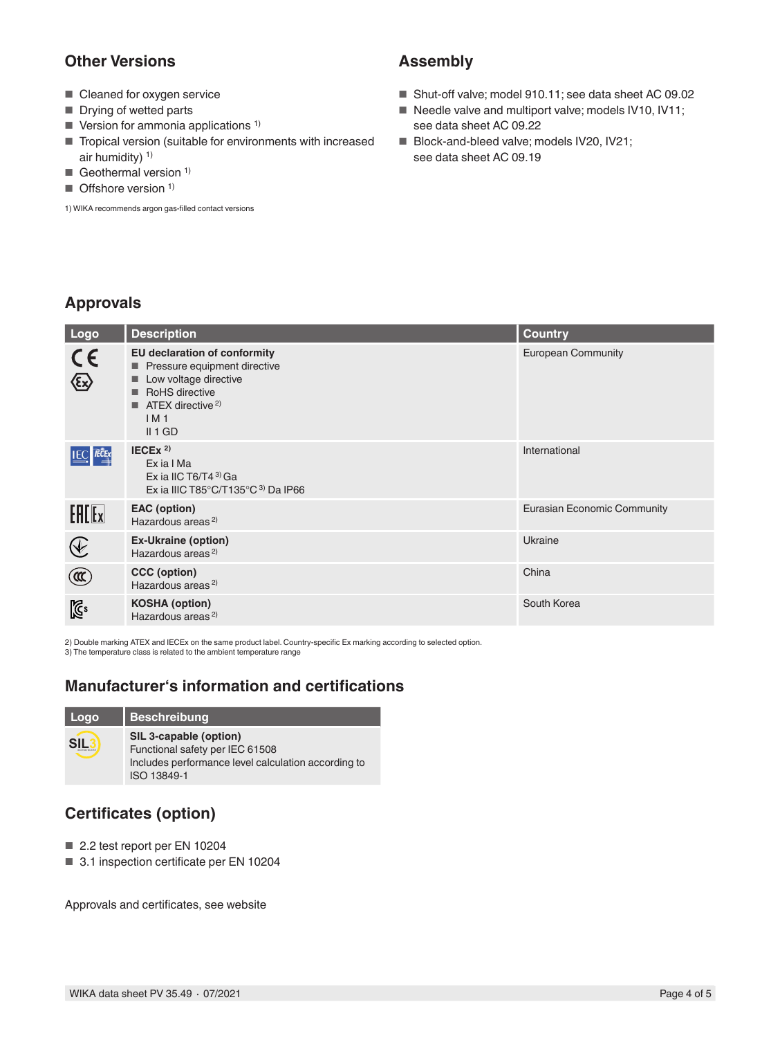## **Other Versions**

- Cleaned for oxygen service
- Drying of wetted parts
- $\blacksquare$  Version for ammonia applications<sup>1)</sup>
- Tropical version (suitable for environments with increased air humidity)  $1$ )
- Geothermal version  $1$ )
- Offshore version<sup>1)</sup>

1) WIKA recommends argon gas-filled contact versions

## **Assembly**

- Shut-off valve; model 910.11; see data sheet AC 09.02
- Needle valve and multiport valve; models IV10, IV11; see data sheet AC 09.22
- Block-and-bleed valve; models IV20, IV21; see data sheet AC 09.19

## **Approvals**

| Logo                                                                             | <b>Description</b>                                                                                                                                                                          | <b>Country</b>              |
|----------------------------------------------------------------------------------|---------------------------------------------------------------------------------------------------------------------------------------------------------------------------------------------|-----------------------------|
| Essis                                                                            | <b>EU declaration of conformity</b><br>Pressure equipment directive<br>Low voltage directive<br><b>RoHS</b> directive<br>▬<br>$\blacksquare$ ATEX directive <sup>2)</sup><br>IM1<br>II 1 GD | <b>European Community</b>   |
| <b>IEC IECE</b> x                                                                | IECEX <sup>2</sup><br>Ex ia I Ma<br>Ex ia IIC T6/T4 $3$ <sup>3</sup> Ga<br>Ex ia IIIC T85 $^{\circ}$ C/T135 $^{\circ}$ C $^{\circ}$ ) Da IP66                                               | International               |
| $E$ $E$                                                                          | <b>EAC</b> (option)<br>Hazardous areas <sup>2)</sup>                                                                                                                                        | Eurasian Economic Community |
| $\bigcircled{\hspace{-0.3pt}\begin{array}{c}\hbox{\large$\epsilon$}\end{array}}$ | <b>Ex-Ukraine (option)</b><br>Hazardous areas <sup>2)</sup>                                                                                                                                 | Ukraine                     |
| $^{\circledR}$                                                                   | CCC (option)<br>Hazardous areas <sup>2)</sup>                                                                                                                                               | China                       |
| $\mathbb{Z}^3$                                                                   | <b>KOSHA (option)</b><br>Hazardous areas <sup>2)</sup>                                                                                                                                      | South Korea                 |

2) Double marking ATEX and IECEx on the same product label. Country-specific Ex marking according to selected option.

3) The temperature class is related to the ambient temperature range

## **Manufacturer's information and certifications**

| Logo | <b>Beschreibung</b>                                                                                                             |
|------|---------------------------------------------------------------------------------------------------------------------------------|
|      | SIL 3-capable (option)<br>Functional safety per IEC 61508<br>Includes performance level calculation according to<br>ISO 13849-1 |

## **Certificates (option)**

- 2.2 test report per EN 10204
- 3.1 inspection certificate per EN 10204

Approvals and certificates, see website